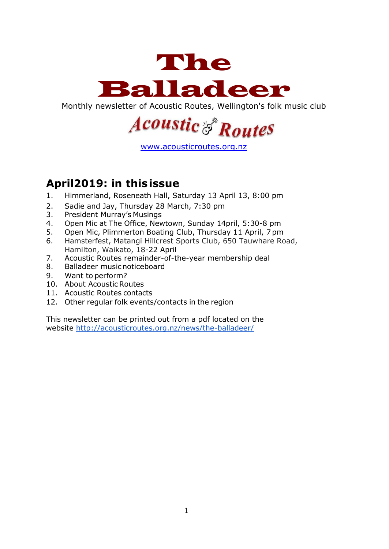

Monthly newsletter of Acoustic Routes, Wellington's folk music club



[www.acousticroutes.org.nz](http://www.acousticroutes.org.nz/)

## **April2019: in thisissue**

- 1. Himmerland, Roseneath Hall, Saturday 13 April 13, 8:00 pm
- 2. Sadie and Jay, Thursday 28 March, 7:30 pm
- 3. President Murray's Musings
- 4. Open Mic at The Office, Newtown, Sunday 14pril, 5:30-8 pm
- 5. Open Mic, Plimmerton Boating Club, Thursday 11 April, 7 pm
- 6. Hamsterfest, Matangi Hillcrest Sports Club, 650 Tauwhare Road, Hamilton, Waikato, 18-22 April
- 7. Acoustic Routes remainder-of-the-year membership deal
- 8. Balladeer musicnoticeboard
- 9. Want to perform?
- 10. About Acoustic Routes
- 11. Acoustic Routes contacts
- 12. Other regular folk events/contacts in the region

This newsletter can be printed out from a pdf located on the website<http://acousticroutes.org.nz/news/the-balladeer/>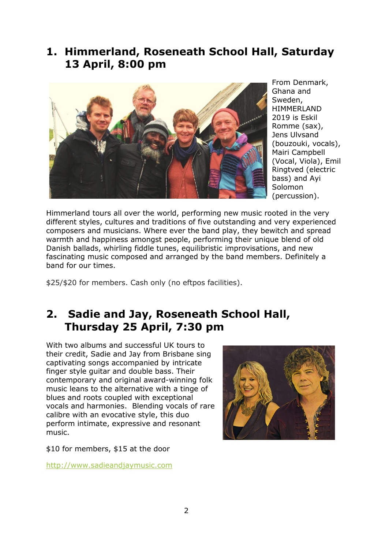## **1. Himmerland, Roseneath School Hall, Saturday 13 April, 8:00 pm**



From Denmark, Ghana and Sweden, HIMMERLAND 2019 is Eskil Romme (sax), Jens Ulvsand (bouzouki, vocals), Mairi Campbell (Vocal, Viola), Emil Ringtved (electric bass) and Ayi Solomon (percussion).

Himmerland tours all over the world, performing new music rooted in the very different styles, cultures and traditions of five outstanding and very experienced composers and musicians. Where ever the band play, they bewitch and spread warmth and happiness amongst people, performing their unique blend of old Danish ballads, whirling fiddle tunes, equilibristic improvisations, and new fascinating music composed and arranged by the band members. Definitely a band for our times.

\$25/\$20 for members. Cash only (no eftpos facilities).

## **2. Sadie and Jay, Roseneath School Hall, Thursday 25 April, 7:30 pm**

With two albums and successful UK tours to their credit, Sadie and Jay from Brisbane sing captivating songs accompanied by intricate finger style guitar and double bass. Their contemporary and original award-winning folk music leans to the alternative with a tinge of blues and roots coupled with exceptional vocals and harmonies. Blending vocals of rare calibre with an evocative style, this duo perform intimate, expressive and resonant music.

\$10 for members, \$15 at the door

[http://www.sadieandjaymusic.com](http://www.sadieandjaymusic.com/)

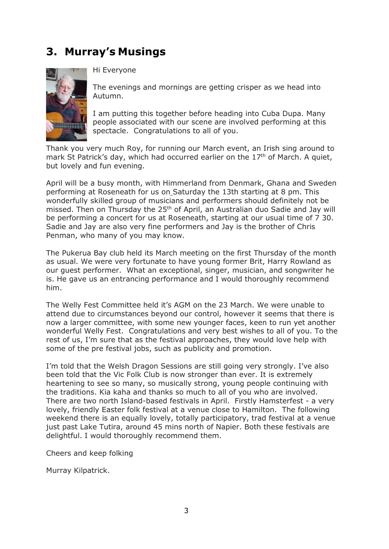# **3. Murray's Musings**



Hi Everyone

The evenings and mornings are getting crisper as we head into Autumn.

I am putting this together before heading into Cuba Dupa. Many people associated with our scene are involved performing at this spectacle. Congratulations to all of you.

Thank you very much Roy, for running our March event, an Irish sing around to mark St Patrick's day, which had occurred earlier on the 17<sup>th</sup> of March. A quiet, but lovely and fun evening.

April will be a busy month, with Himmerland from Denmark, Ghana and Sweden performing at Roseneath for us on Saturday the 13th starting at 8 pm. This wonderfully skilled group of musicians and performers should definitely not be missed. Then on Thursday the 25<sup>th</sup> of April, an Australian duo Sadie and Jay will be performing a concert for us at Roseneath, starting at our usual time of 7 30. Sadie and Jay are also very fine performers and Jay is the brother of Chris Penman, who many of you may know.

The Pukerua Bay club held its March meeting on the first Thursday of the month as usual. We were very fortunate to have young former Brit, Harry Rowland as our guest performer. What an exceptional, singer, musician, and songwriter he is. He gave us an entrancing performance and I would thoroughly recommend him.

The Welly Fest Committee held it's AGM on the 23 March. We were unable to attend due to circumstances beyond our control, however it seems that there is now a larger committee, with some new younger faces, keen to run yet another wonderful Welly Fest. Congratulations and very best wishes to all of you. To the rest of us, I'm sure that as the festival approaches, they would love help with some of the pre festival jobs, such as publicity and promotion.

I'm told that the Welsh Dragon Sessions are still going very strongly. I've also been told that the Vic Folk Club is now stronger than ever. It is extremely heartening to see so many, so musically strong, young people continuing with the traditions. Kia kaha and thanks so much to all of you who are involved. There are two north Island-based festivals in April. Firstly Hamsterfest - a very lovely, friendly Easter folk festival at a venue close to Hamilton. The following weekend there is an equally lovely, totally participatory, trad festival at a venue just past Lake Tutira, around 45 mins north of Napier. Both these festivals are delightful. I would thoroughly recommend them.

Cheers and keep folking

Murray Kilpatrick.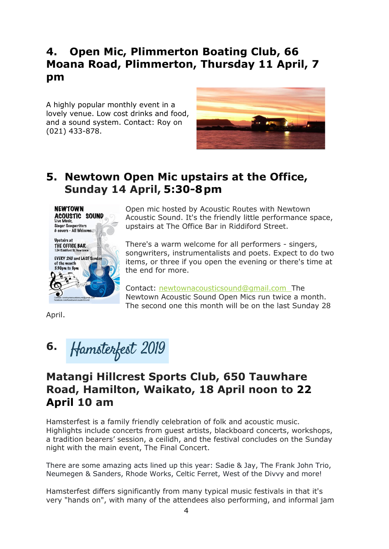# **4. Open Mic, Plimmerton Boating Club, 66 Moana Road, Plimmerton, Thursday 11 April, 7 pm**

A highly popular monthly event in a lovely venue. Low cost drinks and food, and a sound system. Contact: Roy on (021) 433-878.



### **5. Newtown Open Mic upstairs at the Office, Sunday 14 April, 5:30-8pm**



Open mic hosted by Acoustic Routes with Newtown Acoustic Sound. It's the friendly little performance space, upstairs at The Office Bar in Riddiford Street.

There's a warm welcome for all performers - singers, songwriters, instrumentalists and poets. Expect to do two items, or three if you open the evening or there's time at the end for more.

Contact: [newtownacousticsound@gmail.com](mailto:newtownacousticsound@gmail.com) The Newtown Acoustic Sound Open Mics run twice a month. The second one this month will be on the last Sunday 28

April.

Hamsterfest 2019 **6.**

### **Matangi Hillcrest Sports Club, 650 Tauwhare Road, Hamilton, Waikato, 18 April noon to 22 April 10 am**

Hamsterfest is a family friendly celebration of folk and acoustic music. Highlights include concerts from guest artists, blackboard concerts, workshops, a tradition bearers' session, a ceilidh, and the festival concludes on the Sunday night with the main event, The Final Concert.

There are some amazing acts lined up this year: Sadie & Jay, The Frank John Trio, Neumegen & Sanders, Rhode Works, Celtic Ferret, West of the Divvy and more!

Hamsterfest differs significantly from many typical music festivals in that it's very "hands on", with many of the attendees also performing, and informal jam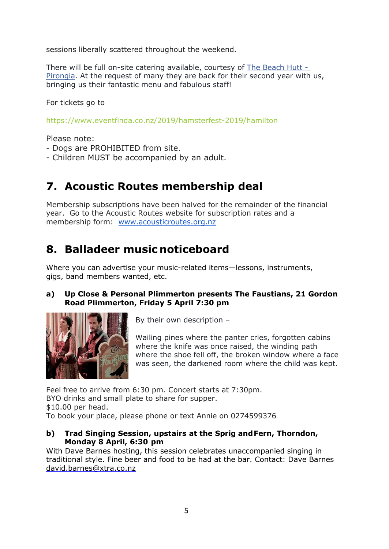sessions liberally scattered throughout the weekend.

There will be full on-site catering available, courtesy of [The Beach Hutt -](https://www.facebook.com/beach.hutt/)  [Pirongia.](https://www.facebook.com/beach.hutt/) At the request of many they are back for their second year with us, bringing us their fantastic menu and fabulous staff!

For tickets go to

<https://www.eventfinda.co.nz/2019/hamsterfest-2019/hamilton>

Please note:

- Dogs are PROHIBITED from site.
- Children MUST be accompanied by an adult.

# **7. Acoustic Routes membership deal**

Membership subscriptions have been halved for the remainder of the financial year. Go to the Acoustic Routes website for subscription rates and a membership form: [www.acousticroutes.org.nz](http://www.acousticroutes.org.nz/)

# **8. Balladeer music noticeboard**

Where you can advertise your music-related items—lessons, instruments, gigs, band members wanted, etc.

#### **a) Up Close & Personal Plimmerton presents The Faustians, 21 Gordon Road Plimmerton, Friday 5 April 7:30 pm**



By their own description –

Wailing pines where the panter cries, forgotten cabins where the knife was once raised, the winding path where the shoe fell off, the broken window where a face was seen, the darkened room where the child was kept.

Feel free to arrive from 6:30 pm. Concert starts at 7:30pm. BYO drinks and small plate to share for supper. \$10.00 per head. To book your place, please phone or text Annie on 0274599376

#### **b) Trad Singing Session, upstairs at the Sprig andFern, Thorndon, Monday 8 April, 6:30 pm**

With Dave Barnes hosting, this session celebrates unaccompanied singing in traditional style. Fine beer and food to be had at the bar. Contact: Dave Barnes [david.barnes@xtra.co.nz](mailto:david.barnes@xtra.co.nz)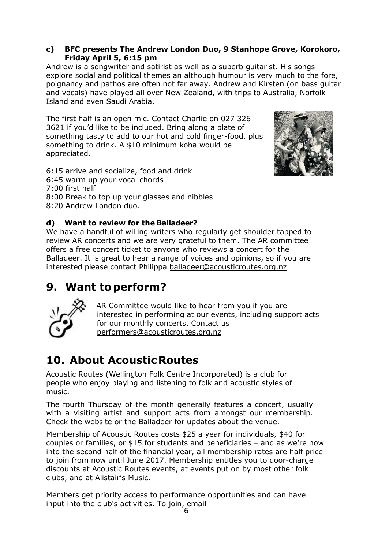#### **c) BFC presents The Andrew London Duo, 9 Stanhope Grove, Korokoro, Friday April 5, 6:15 pm**

Andrew is a songwriter and satirist as well as a superb guitarist. His songs explore social and political themes an although humour is very much to the fore, poignancy and pathos are often not far away. Andrew and Kirsten (on bass guitar and vocals) have played all over New Zealand, with trips to Australia, Norfolk Island and even Saudi Arabia.

The first half is an open mic. Contact Charlie on 027 326 3621 if you'd like to be included. Bring along a plate of something tasty to add to our hot and cold finger-food, plus something to drink. A \$10 minimum koha would be appreciated.



6:15 arrive and socialize, food and drink

6:45 warm up your vocal chords

7:00 first half

8:00 Break to top up your glasses and nibbles

8:20 Andrew London duo.

#### **d) Want to review for the Balladeer?**

We have a handful of willing writers who regularly get shoulder tapped to review AR concerts and we are very grateful to them. The AR committee offers a free concert ticket to anyone who reviews a concert for the Balladeer. It is great to hear a range of voices and opinions, so if you are interested please contact Philippa [balladeer@acousticroutes.org.nz](mailto:balladeer@acousticroutes.org.nz)

# **9. Want toperform?**



AR Committee would like to hear from you if you are interested in performing at our events, including support acts for our monthly concerts. Contact us [performers@acousticroutes.org.nz](mailto:performers@acousticroutes.org.nz)

# **10. About AcousticRoutes**

Acoustic Routes (Wellington Folk Centre Incorporated) is a club for people who enjoy playing and listening to folk and acoustic styles of music.

The fourth Thursday of the month generally features a concert, usually with a visiting artist and support acts from amongst our membership. Check the website or the Balladeer for updates about the venue.

Membership of Acoustic Routes costs \$25 a year for individuals, \$40 for couples or families, or \$15 for students and beneficiaries – and as we're now into the second half of the financial year, all membership rates are half price to join from now until June 2017. Membership entitles you to door-charge discounts at Acoustic Routes events, at events put on by most other folk clubs, and at Alistair's Music.

Members get priority access to performance opportunities and can have input into the club's activities. To join, email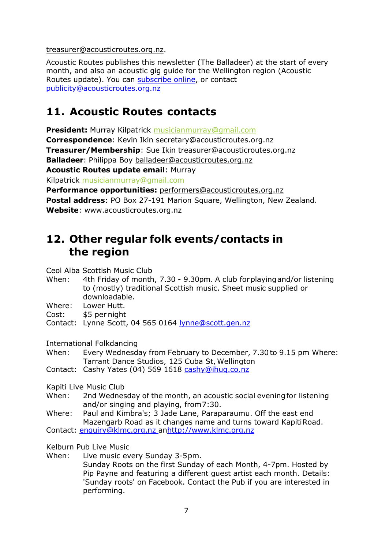[treasurer@acousticroutes.org.nz.](mailto:treasurer@acousticroutes.org.nz)

Acoustic Routes publishes this newsletter (The Balladeer) at the start of every month, and also an acoustic gig guide for the Wellington region (Acoustic Routes update). You ca[n subscribe online,](http://eepurl.com/mP90b) or contact [publicity@acousticroutes.org.nz](mailto:publicity@acousticroutes.org.nz)

## **11. Acoustic Routes contacts**

**President:** Murray Kilpatrick [musicianmurray@gmail.com](mailto:musicianmurray@gmail.com) **Correspondence**: Kevin Ikin [secretary@acousticroutes.org.nz](mailto:secretary@acousticroutes.org.nz) **Treasurer/Membership**: Sue Ikin treasurer@acousticroutes.org.nz **Balladeer**[: Philippa Boy](mailto:treasurer@acousticroutes.org.nz) balladeer@acousticroutes.org.nz **[Acoustic Routes update email](mailto:balladeer@acousticroutes.org.nz)**: Murray Kilpatrick musicianmurray@gmail.com **Perform[ance opportunities:](mailto:musicianmurray@gmail.com)** performers@acousticroutes.org.nz **Postal address**: PO Box 27-1[91 Marion Square, Wellington, New](mailto:performers@acousticroutes.org.nz) Zealand.

**Website**: [www.acousticroutes.org.nz](http://www.acousticroutes.org.nz/)

# **12. Other regular folk events/contacts in the region**

Ceol Alba Scottish Music Club

- When: 4th Friday of month, 7.30 9.30pm. A club forplayingand/or listening to (mostly) traditional Scottish music. Sheet music supplied or downloadable.
- Where: Lower Hutt.
- Cost: \$5 per night
- Contact: Lynne Scott, 04 565 0164 [lynne@scott.gen.nz](mailto:lynne@scott.gen.nz)

International Folkdancing

When: Every Wednesday from February to December, 7.30to 9.15 pm Where: Tarrant Dance Studios, 125 Cuba St, Wellington

Contact: Cashy Yates (04) 569 1618 [cashy@ihug.co.nz](mailto:cashy@ihug.co.nz)

Kapiti Live Music Club

- When: 2nd Wednesday of the month, an acoustic social evening for listening and/or singing and playing, from7:30.
- Where: Paul and Kimbra's; 3 Jade Lane, Paraparaumu. Off the east end Mazengarb Road as it changes name and turns toward KapitiRoad. Contact: [enquiry@klmc.org.nz a](mailto:enquiry@klmc.org.nz)[nhttp://www.klmc.org.nz](http://www.klmc.org.nz/)

Kelburn Pub Live Music

- When: Live music every Sunday 3-5pm. Sunday Roots on the first Sunday of each Month, 4-7pm. Hosted by
	- Pip Payne and featuring a different guest artist each month. Details: 'Sunday roots' on Facebook. Contact the Pub if you are interested in performing.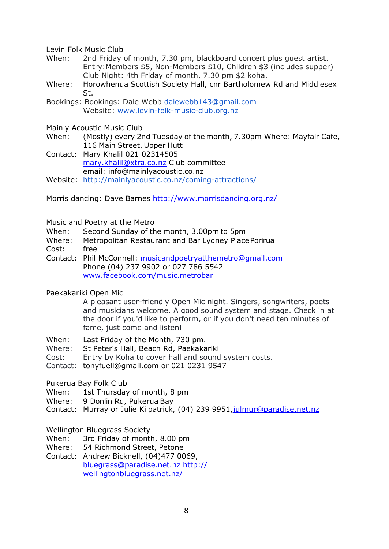Levin Folk Music Club

- When: 2nd Friday of month, 7.30 pm, blackboard concert plus quest artist. Entry:Members \$5, Non-Members \$10, Children \$3 (includes supper) Club Night: 4th Friday of month, 7.30 pm \$2 koha.
- Where: Horowhenua Scottish Society Hall, cnr Bartholomew Rd and Middlesex St.
- Bookings: Bookings: Dale Webb [dalewebb143@gmail.com](mailto:dalewebb143@gmail.com) Website: [www.levin-folk-music-club.org.nz](http://www.levin-folk-music-club.org.nz/)

Mainly Acoustic Music Club

When: (Mostly) every 2nd Tuesday of the month, 7.30pm Where: Mayfair Cafe, 116 Main Street, Upper Hutt

Contact: Mary Khalil 021 02314505 [mary.khalil@xtra.co.nz](mailto:mary.khalil@xtra.co.nz) Club committee email: [info@mainlyacoustic.co.nz](mailto:info@mainlyacoustic.co.nz)

Website: <http://mainlyacoustic.co.nz/coming-attractions/>

Morris dancing: Dave Barnes<http://www.morrisdancing.org.nz/>

Music and Poetry at the Metro

- When: Second Sunday of the month, 3.00pm to 5pm
- Where: Metropolitan Restaurant and Bar Lydney PlacePorirua Cost: free
- Contact: Phil McConnell: [musicandpoetryatthemetro@gmail.com](mailto:musicandpoetryatthemetro@gmail.com) Phone (04) 237 9902 or 027 786 5542 [www.facebook.com/music.metrobar](http://www.facebook.com/music.metrobar)

Paekakariki Open Mic

A pleasant user-friendly Open Mic night. Singers, songwriters, poets and musicians welcome. A good sound system and stage. Check in at the door if you'd like to perform, or if you don't need ten minutes of fame, just come and listen!

When: Last Friday of the Month, 730 pm.

Where: St Peter's Hall, Beach Rd, Paekakariki

Cost: Entry by Koha to cover hall and sound system costs.

Contact: tonyfuell@gmail.com or 021 0231 9547

Pukerua Bay Folk Club

When: 1st Thursday of month, 8 pm

Where: 9 Donlin Rd, Pukerua Bay

Contact: Murray or Julie Kilpatrick, (04) 239 9951[,julmur@paradise.net.nz](mailto:julmur@paradise.net.nz)

Wellington Bluegrass Society

When: 3rd Friday of month, 8.00 pm

Where: 54 Richmond Street, Petone

Contact: Andrew Bicknell, (04)477 0069, [bluegrass@paradise.net.nz](mailto:bluegrass@paradise.net.nz) [http://](http://wellingtonbluegrass.net.nz/)  wellingtonbluegrass.net.nz/